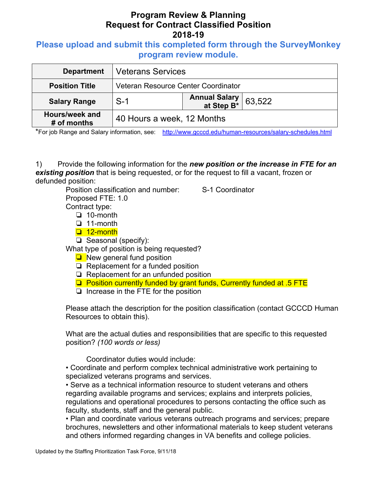## **Please upload and submit this completed form through the SurveyMonkey program review module.**

| <b>Department</b>             | <b>Veterans Services</b>            |                                     |        |
|-------------------------------|-------------------------------------|-------------------------------------|--------|
| <b>Position Title</b>         | Veteran Resource Center Coordinator |                                     |        |
| <b>Salary Range</b>           | $S-1$                               | <b>Annual Salary<br/>at Step B*</b> | 63,522 |
| Hours/week and<br># of months | 40 Hours a week, 12 Months          |                                     |        |

\*For job Range and Salary information, see: http://www.gcccd.edu/human-resources/salary-schedules.html

1) Provide the following information for the *new position or the increase in FTE for an existing position* that is being requested, or for the request to fill a vacant, frozen or defunded position:

Position classification and number: S-1 Coordinator Proposed FTE: 1.0

Contract type:

❏ 10-month

- ❏ 11-month
- ❏ 12-month
- ❏ Seasonal (specify):

What type of position is being requested?

- ❏ New general fund position
- ❏ Replacement for a funded position
- ❏ Replacement for an unfunded position
- ❏ Position currently funded by grant funds, Currently funded at .5 FTE
- ❏ Increase in the FTE for the position

Please attach the description for the position classification (contact GCCCD Human Resources to obtain this).

What are the actual duties and responsibilities that are specific to this requested position? *(100 words or less)* 

Coordinator duties would include:

• Coordinate and perform complex technical administrative work pertaining to specialized veterans programs and services.

• Serve as a technical information resource to student veterans and others regarding available programs and services; explains and interprets policies, regulations and operational procedures to persons contacting the office such as faculty, students, staff and the general public.

• Plan and coordinate various veterans outreach programs and services; prepare brochures, newsletters and other informational materials to keep student veterans and others informed regarding changes in VA benefits and college policies.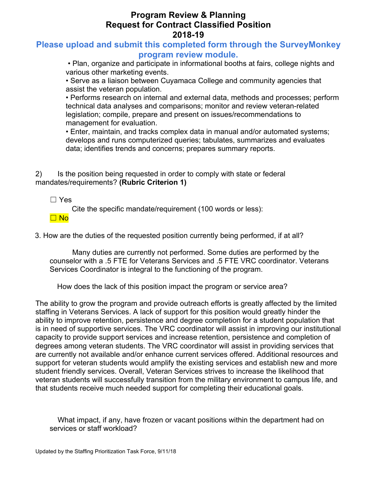### **Please upload and submit this completed form through the SurveyMonkey program review module.**

 • Plan, organize and participate in informational booths at fairs, college nights and various other marketing events.

• Serve as a liaison between Cuyamaca College and community agencies that assist the veteran population.

• Performs research on internal and external data, methods and processes; perform technical data analyses and comparisons; monitor and review veteran-related legislation; compile, prepare and present on issues/recommendations to management for evaluation.

• Enter, maintain, and tracks complex data in manual and/or automated systems; develops and runs computerized queries; tabulates, summarizes and evaluates data; identifies trends and concerns; prepares summary reports.

2) Is the position being requested in order to comply with state or federal mandates/requirements? **(Rubric Criterion 1)** 

☐ Yes

Cite the specific mandate/requirement (100 words or less):

☐ No

3. How are the duties of the requested position currently being performed, if at all?

Many duties are currently not performed. Some duties are performed by the counselor with a .5 FTE for Veterans Services and .5 FTE VRC coordinator. Veterans Services Coordinator is integral to the functioning of the program.

How does the lack of this position impact the program or service area?

The ability to grow the program and provide outreach efforts is greatly affected by the limited staffing in Veterans Services. A lack of support for this position would greatly hinder the ability to improve retention, persistence and degree completion for a student population that is in need of supportive services. The VRC coordinator will assist in improving our institutional capacity to provide support services and increase retention, persistence and completion of degrees among veteran students. The VRC coordinator will assist in providing services that are currently not available and/or enhance current services offered. Additional resources and support for veteran students would amplify the existing services and establish new and more student friendly services. Overall, Veteran Services strives to increase the likelihood that veteran students will successfully transition from the military environment to campus life, and that students receive much needed support for completing their educational goals.

What impact, if any, have frozen or vacant positions within the department had on services or staff workload?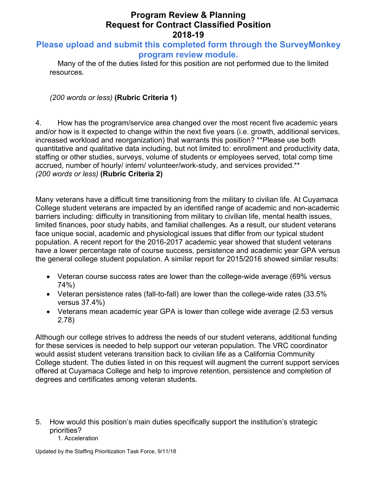## **Please upload and submit this completed form through the SurveyMonkey program review module.**

Many of the of the duties listed for this position are not performed due to the limited resources.

*(200 words or less)* **(Rubric Criteria 1)**

4. How has the program/service area changed over the most recent five academic years and/or how is it expected to change within the next five years (i.e. growth, additional services, increased workload and reorganization) that warrants this position? \*\*Please use both quantitative and qualitative data including, but not limited to: enrollment and productivity data, staffing or other studies, surveys, volume of students or employees served, total comp time accrued, number of hourly/ intern/ volunteer/work-study, and services provided.\*\* *(200 words or less)* **(Rubric Criteria 2)**

Many veterans have a difficult time transitioning from the military to civilian life. At Cuyamaca College student veterans are impacted by an identified range of academic and non-academic barriers including: difficulty in transitioning from military to civilian life, mental health issues, limited finances, poor study habits, and familial challenges. As a result, our student veterans face unique social, academic and physiological issues that differ from our typical student population. A recent report for the 2016-2017 academic year showed that student veterans have a lower percentage rate of course success, persistence and academic year GPA versus the general college student population. A similar report for 2015/2016 showed similar results:

- Veteran course success rates are lower than the college-wide average (69% versus 74%)
- Veteran persistence rates (fall-to-fall) are lower than the college-wide rates (33.5% versus 37.4%)
- Veterans mean academic year GPA is lower than college wide average (2.53 versus 2.78)

Although our college strives to address the needs of our student veterans, additional funding for these services is needed to help support our veteran population. The VRC coordinator would assist student veterans transition back to civilian life as a California Community College student. The duties listed in on this request will augment the current support services offered at Cuyamaca College and help to improve retention, persistence and completion of degrees and certificates among veteran students.

5. How would this position's main duties specifically support the institution's strategic priorities?

#### 1. Acceleration